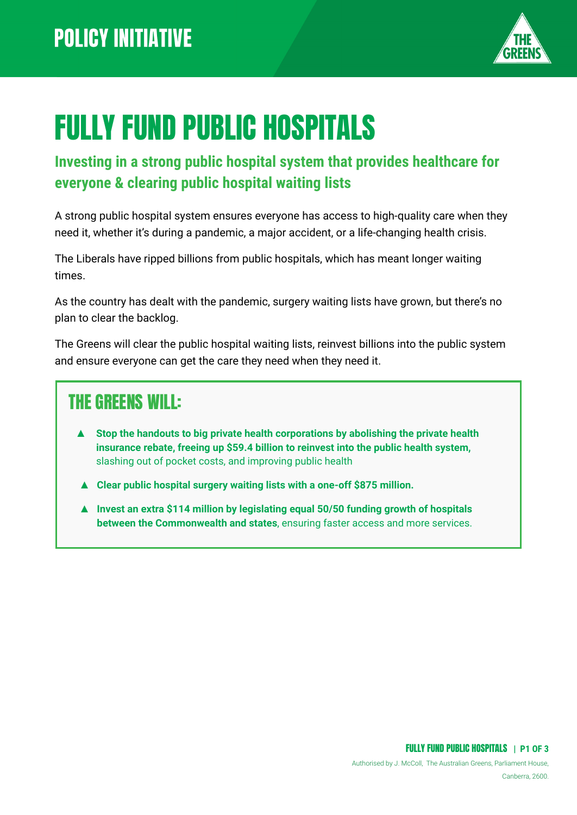

# FULLY FUND PUBLIC HOSPITALS

#### **Investing in a strong public hospital system that provides healthcare for everyone & clearing public hospital waiting lists**

A strong public hospital system ensures everyone has access to high-quality care when they need it, whether it's during a pandemic, a major accident, or a life-changing health crisis.

The Liberals have ripped billions from public hospitals, which has meant longer waiting times.

As the country has dealt with the pandemic, surgery waiting lists have grown, but there's no plan to clear the backlog.

The Greens will clear the public hospital waiting lists, reinvest billions into the public system and ensure everyone can get the care they need when they need it.

#### THE GREENS WILL:

- **Stop the handouts to big private health corporations by abolishing the private health insurance rebate, freeing up \$59.4 billion to reinvest into the public health system,** slashing out of pocket costs, and improving public health
- ▲ **Clear public hospital surgery waiting lists with a one-off \$875 million.**
- ▲ **Invest an extra \$114 million by legislating equal 50/50 funding growth of hospitals between the Commonwealth and states**, ensuring faster access and more services.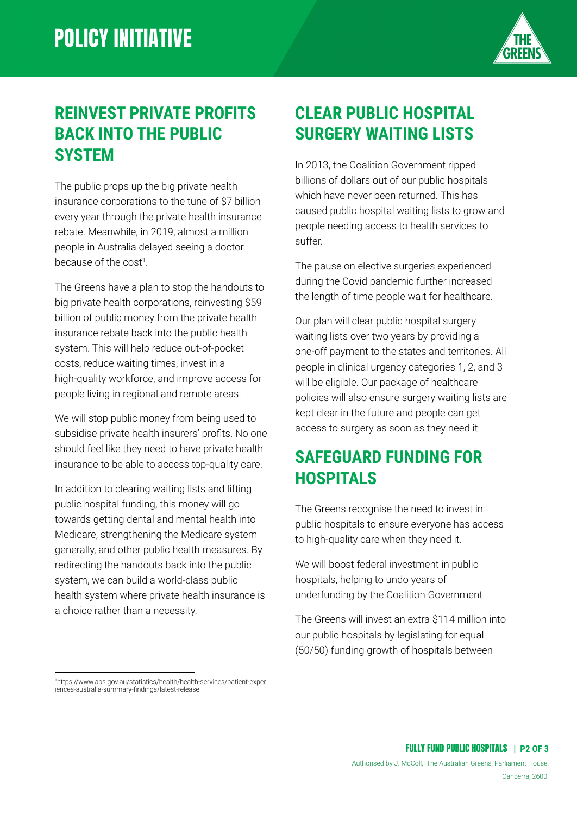

#### **REINVEST PRIVATE PROFITS BACK INTO THE PUBLIC SYSTEM**

The public props up the big private health insurance corporations to the tune of \$7 billion every year through the private health insurance rebate. Meanwhile, in 2019, almost a million people in Australia delayed seeing a doctor because of the cost<sup>1</sup>.

The Greens have a plan to stop the handouts to big private health corporations, reinvesting \$59 billion of public money from the private health insurance rebate back into the public health system. This will help reduce out-of-pocket costs, reduce waiting times, invest in a high-quality workforce, and improve access for people living in regional and remote areas.

We will stop public money from being used to subsidise private health insurers' profits. No one should feel like they need to have private health insurance to be able to access top-quality care.

In addition to clearing waiting lists and lifting public hospital funding, this money will go towards getting dental and mental health into Medicare, strengthening the Medicare system generally, and other public health measures. By redirecting the handouts back into the public system, we can build a world-class public health system where private health insurance is a choice rather than a necessity.

### **CLEAR PUBLIC HOSPITAL SURGERY WAITING LISTS**

In 2013, the Coalition Government ripped billions of dollars out of our public hospitals which have never been returned. This has caused public hospital waiting lists to grow and people needing access to health services to suffer.

The pause on elective surgeries experienced during the Covid pandemic further increased the length of time people wait for healthcare.

Our plan will clear public hospital surgery waiting lists over two years by providing a one-off payment to the states and territories. All people in clinical urgency categories 1, 2, and 3 will be eligible. Our package of healthcare policies will also ensure surgery waiting lists are kept clear in the future and people can get access to surgery as soon as they need it.

#### **SAFEGUARD FUNDING FOR HOSPITALS**

The Greens recognise the need to invest in public hospitals to ensure everyone has access to high-quality care when they need it.

We will boost federal investment in public hospitals, helping to undo years of underfunding by the Coalition Government.

The Greens will invest an extra \$114 million into our public hospitals by legislating for equal (50/50) funding growth of hospitals between

<sup>1</sup>https://www.abs.gov.au/statistics/health/health-services/patient-exper iences-australia-summary-findings/latest-release